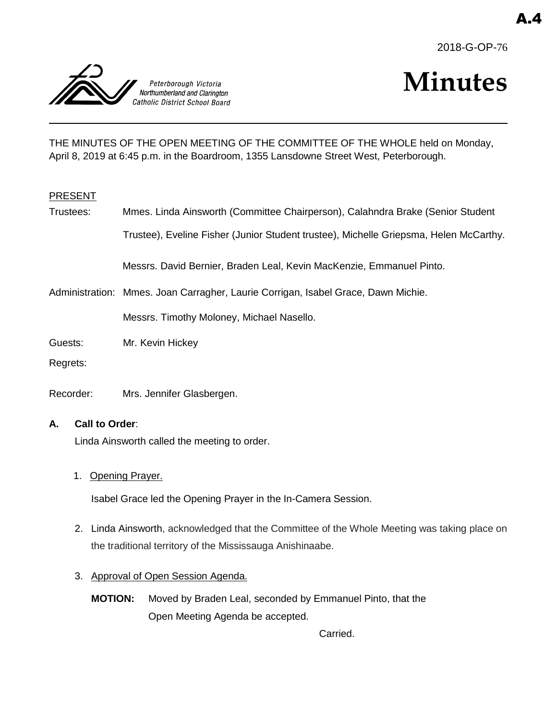



# **Minutes**

THE MINUTES OF THE OPEN MEETING OF THE COMMITTEE OF THE WHOLE held on Monday, April 8, 2019 at 6:45 p.m. in the Boardroom, 1355 Lansdowne Street West, Peterborough.

#### PRESENT

Trustees: Mmes. Linda Ainsworth (Committee Chairperson), Calahndra Brake (Senior Student Trustee), Eveline Fisher (Junior Student trustee), Michelle Griepsma, Helen McCarthy. Messrs. David Bernier, Braden Leal, Kevin MacKenzie, Emmanuel Pinto.

Administration: Mmes. Joan Carragher, Laurie Corrigan, Isabel Grace, Dawn Michie.

Messrs. Timothy Moloney, Michael Nasello.

- Guests: Mr. Kevin Hickey
- Regrets:
- Recorder: Mrs. Jennifer Glasbergen.

#### **A. Call to Order**:

Linda Ainsworth called the meeting to order.

1. Opening Prayer.

Isabel Grace led the Opening Prayer in the In-Camera Session.

- 2. Linda Ainsworth, acknowledged that the Committee of the Whole Meeting was taking place on the traditional territory of the Mississauga Anishinaabe.
- 3. Approval of Open Session Agenda.
	- **MOTION:** Moved by Braden Leal, seconded by Emmanuel Pinto, that the Open Meeting Agenda be accepted.

Carried.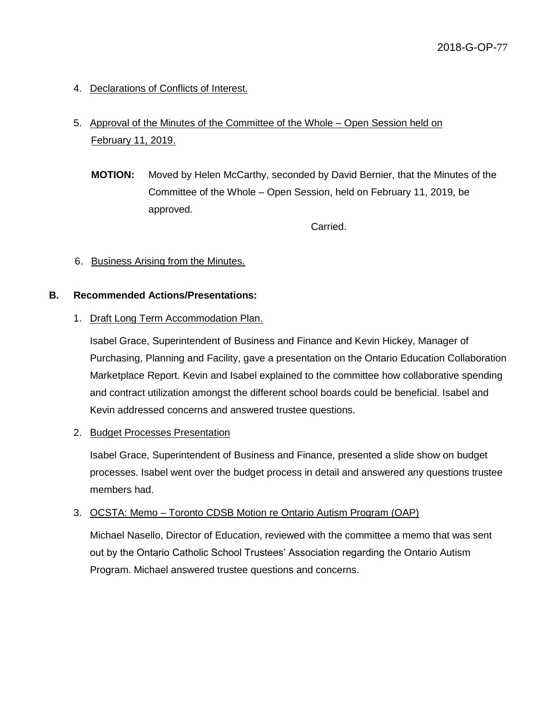4. Declarations of Conflicts of Interest.

# 5. Approval of the Minutes of the Committee of the Whole – Open Session held on February 11, 2019.

**MOTION:** Moved by Helen McCarthy, seconded by David Bernier, that the Minutes of the Committee of the Whole – Open Session, held on February 11, 2019, be approved.

Carried.

# 6. Business Arising from the Minutes.

#### **B. Recommended Actions/Presentations:**

#### 1. Draft Long Term Accommodation Plan.

Isabel Grace, Superintendent of Business and Finance and Kevin Hickey, Manager of Purchasing, Planning and Facility, gave a presentation on the Ontario Education Collaboration Marketplace Report. Kevin and Isabel explained to the committee how collaborative spending and contract utilization amongst the different school boards could be beneficial. Isabel and Kevin addressed concerns and answered trustee questions.

#### 2. Budget Processes Presentation

Isabel Grace, Superintendent of Business and Finance, presented a slide show on budget processes. Isabel went over the budget process in detail and answered any questions trustee members had.

#### 3. OCSTA: Memo – Toronto CDSB Motion re Ontario Autism Program (OAP)

Michael Nasello, Director of Education, reviewed with the committee a memo that was sent out by the Ontario Catholic School Trustees' Association regarding the Ontario Autism Program. Michael answered trustee questions and concerns.